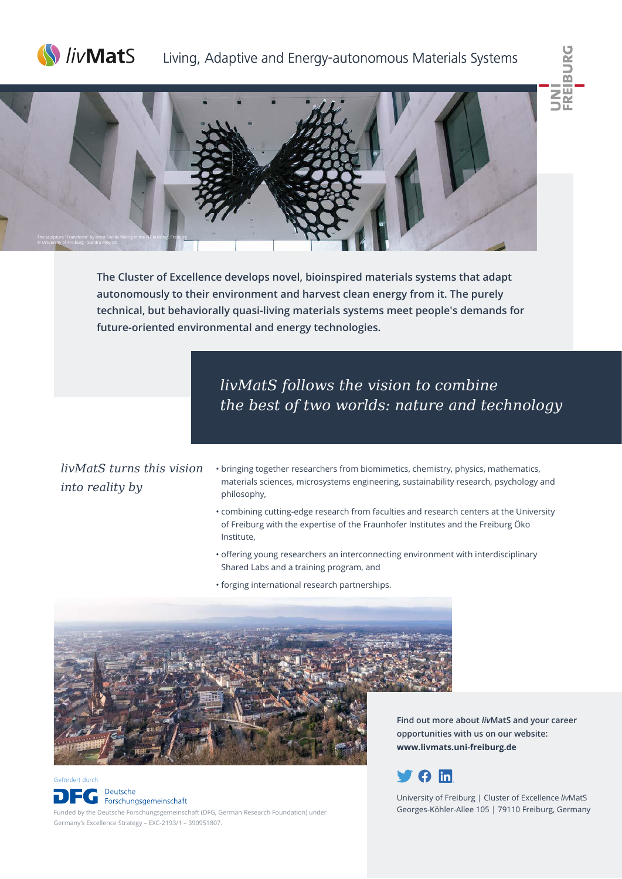

# Living, Adaptive and Energy-autonomous Materials Systems





**The Cluster of Excellence develops novel, bioinspired materials systems that adapt autonomously to their environment and harvest clean energy from it. The purely technical, but behaviorally quasi-living materials systems meet people's demands for future-oriented environmental and energy technologies.** 

> *livMatS follows the vision to combine the best of two worlds: nature and technology*

*livMatS turns this vision into reality by*

Gefördert durch

Deutsche

- bringing together researchers from biomimetics, chemistry, physics, mathematics, materials sciences, microsystems engineering, sustainability research, psychology and philosophy,
- combining cutting-edge research from faculties and research centers at the University of Freiburg with the expertise of the Fraunhofer Institutes and the Freiburg Öko Institute,
- offering young researchers an interconnecting environment with interdisciplinary Shared Labs and a training program, and
- forging international research partnerships.



**Find out more about** *liv***MatS and your career opportunities with us on our website: www.livmats.uni-freiburg.de** 



University of Freiburg | Cluster of Excellence *liv*MatS Georges-Köhler-Allee 105 | 79110 Freiburg, Germany

G Forschungsgemeinschaft Funded by the Deutsche Forschungsgemeinschaft (DFG, German Research Foundation) under Germany's Excellence Strategy – EXC-2193/1 – 390951807.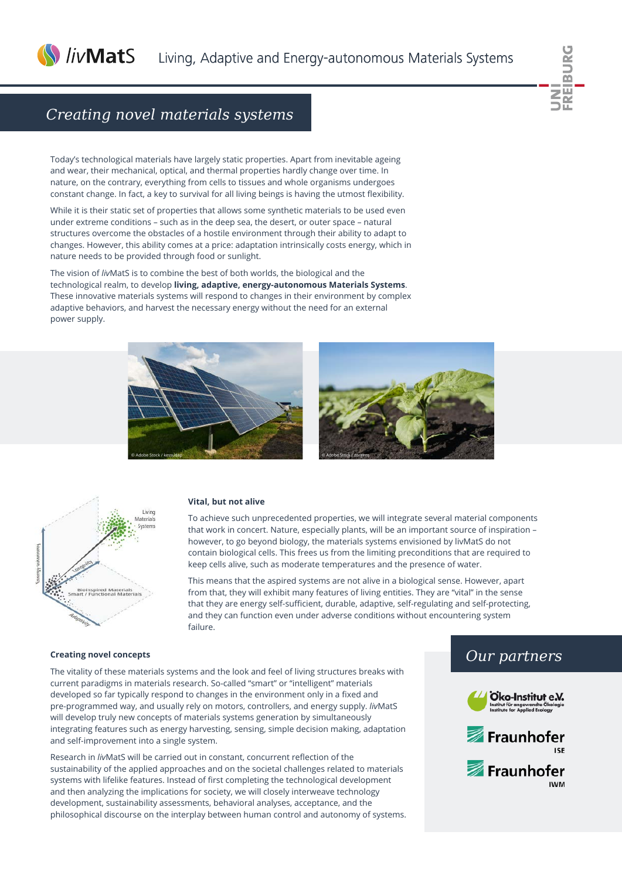

# *Creating novel materials systems*

Today's technological materials have largely static properties. Apart from inevitable ageing and wear, their mechanical, optical, and thermal properties hardly change over time. In nature, on the contrary, everything from cells to tissues and whole organisms undergoes constant change. In fact, a key to survival for all living beings is having the utmost flexibility.

While it is their static set of properties that allows some synthetic materials to be used even under extreme conditions – such as in the deep sea, the desert, or outer space – natural structures overcome the obstacles of a hostile environment through their ability to adapt to changes. However, this ability comes at a price: adaptation intrinsically costs energy, which in nature needs to be provided through food or sunlight.

The vision of *liv*MatS is to combine the best of both worlds, the biological and the technological realm, to develop **living, adaptive, energy-autonomous Materials Systems**. These innovative materials systems will respond to changes in their environment by complex adaptive behaviors, and harvest the necessary energy without the need for an external power supply.







#### **Vital, but not alive**

To achieve such unprecedented properties, we will integrate several material components that work in concert. Nature, especially plants, will be an important source of inspiration – however, to go beyond biology, the materials systems envisioned by livMatS do not contain biological cells. This frees us from the limiting preconditions that are required to keep cells alive, such as moderate temperatures and the presence of water.

This means that the aspired systems are not alive in a biological sense. However, apart from that, they will exhibit many features of living entities. They are "vital" in the sense that they are energy self-sufficient, durable, adaptive, self-regulating and self-protecting, and they can function even under adverse conditions without encountering system failure.

#### **Creating novel concepts**

The vitality of these materials systems and the look and feel of living structures breaks with current paradigms in materials research. So-called "smart" or "intelligent" materials developed so far typically respond to changes in the environment only in a fixed and pre-programmed way, and usually rely on motors, controllers, and energy supply. *liv*MatS will develop truly new concepts of materials systems generation by simultaneously integrating features such as energy harvesting, sensing, simple decision making, adaptation and self-improvement into a single system.

Research in *liv*MatS will be carried out in constant, concurrent reflection of the sustainability of the applied approaches and on the societal challenges related to materials systems with lifelike features. Instead of first completing the technological development and then analyzing the implications for society, we will closely interweave technology development, sustainability assessments, behavioral analyses, acceptance, and the philosophical discourse on the interplay between human control and autonomy of systems.

### *Our partners*



**IWM**